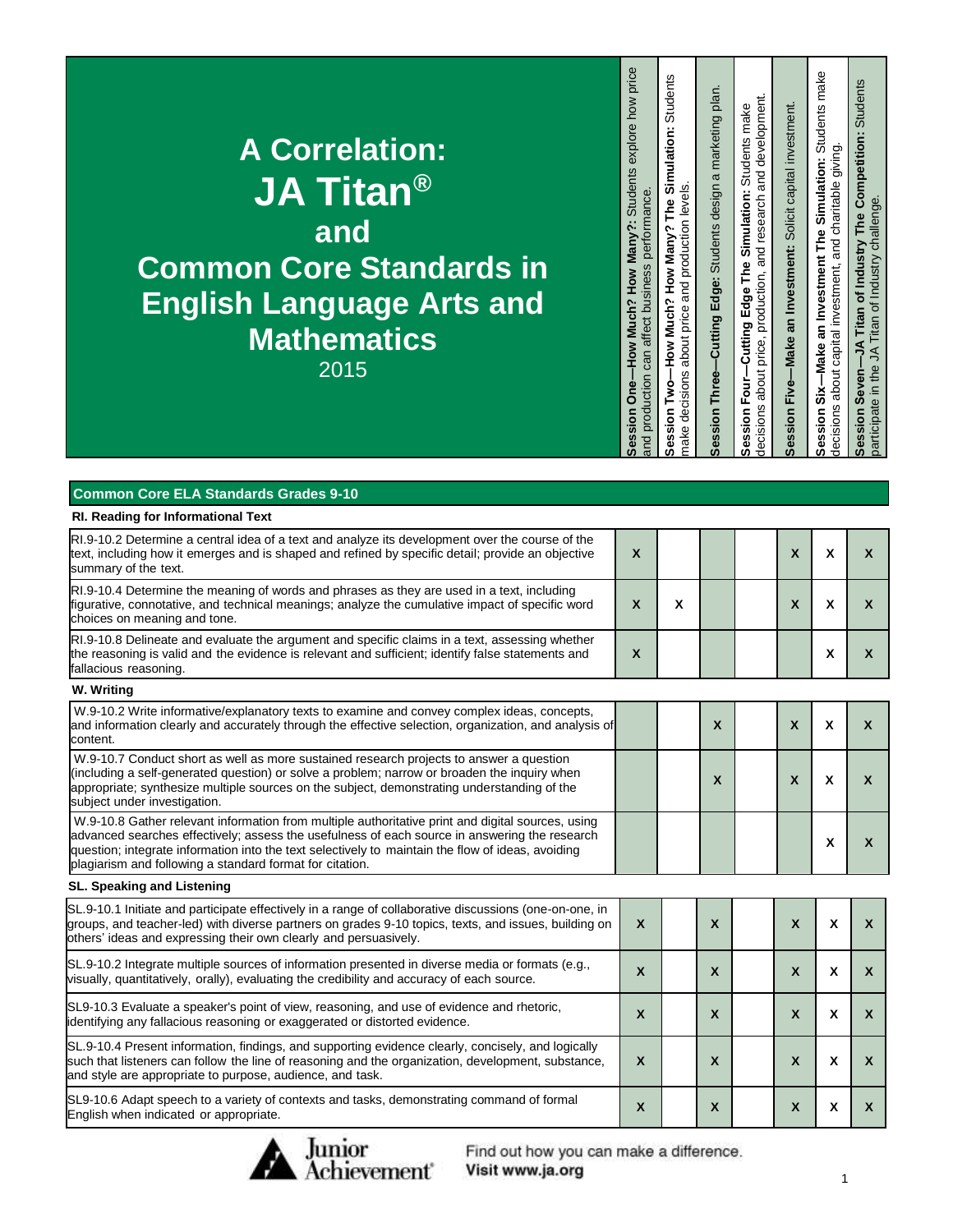| <b>A Correlation:</b><br>$\overline{\mathsf{JA}}$ Titan®<br>and<br><b>Common Core Standards in</b><br><b>English Language Arts and</b><br><b>Mathematics</b><br>2015 | explore how price<br><b>Students</b><br>performance<br>-How Much? How Many?<br>affect business<br>can a<br>production<br><b>One</b><br>Session<br>and | Students<br>Simulation:<br>and production levels<br>How Many?<br>How Much?<br>about price<br>make decisions<br>。<br>≧<br>Session | plan.<br>marketing<br>Cutting Edge: Students design a<br>ession Three-<br>ഗ | and development.<br>Students make<br>Simulation:<br>price, production, and research<br>۴è<br>F<br>Cutting Edge<br>about<br>Session Four-<br>decisions | Session Five-Make an Investment: Solicit capital investment. | make<br><b>Students</b><br>and charitable giving.<br>g<br>Simulati<br>۴è<br>F<br>Investment<br>about capital investment,<br>ສ<br>-Make<br>šŘ<br>decisions<br>ession<br>ഗ | Students<br>The Competition:<br>Titan of Industry challenge<br>of Industry<br>Titan<br>₹<br>participate in the<br>Session |
|----------------------------------------------------------------------------------------------------------------------------------------------------------------------|-------------------------------------------------------------------------------------------------------------------------------------------------------|----------------------------------------------------------------------------------------------------------------------------------|-----------------------------------------------------------------------------|-------------------------------------------------------------------------------------------------------------------------------------------------------|--------------------------------------------------------------|--------------------------------------------------------------------------------------------------------------------------------------------------------------------------|---------------------------------------------------------------------------------------------------------------------------|
|----------------------------------------------------------------------------------------------------------------------------------------------------------------------|-------------------------------------------------------------------------------------------------------------------------------------------------------|----------------------------------------------------------------------------------------------------------------------------------|-----------------------------------------------------------------------------|-------------------------------------------------------------------------------------------------------------------------------------------------------|--------------------------------------------------------------|--------------------------------------------------------------------------------------------------------------------------------------------------------------------------|---------------------------------------------------------------------------------------------------------------------------|

| <b>Common Core ELA Standards Grades 9-10</b>                                                                                                                                                                                                                                                                                                                        |                           |   |              |                           |                           |                           |
|---------------------------------------------------------------------------------------------------------------------------------------------------------------------------------------------------------------------------------------------------------------------------------------------------------------------------------------------------------------------|---------------------------|---|--------------|---------------------------|---------------------------|---------------------------|
| RI. Reading for Informational Text                                                                                                                                                                                                                                                                                                                                  |                           |   |              |                           |                           |                           |
| RI.9-10.2 Determine a central idea of a text and analyze its development over the course of the<br>text, including how it emerges and is shaped and refined by specific detail; provide an objective<br>summary of the text.                                                                                                                                        | $\mathbf{x}$              |   |              | $\boldsymbol{\mathsf{X}}$ | X                         | $\mathbf{x}$              |
| RI.9-10.4 Determine the meaning of words and phrases as they are used in a text, including<br>figurative, connotative, and technical meanings; analyze the cumulative impact of specific word<br>choices on meaning and tone.                                                                                                                                       | $\mathsf{x}$              | X |              | $\boldsymbol{\mathsf{X}}$ | X                         | X                         |
| RI.9-10.8 Delineate and evaluate the argument and specific claims in a text, assessing whether<br>the reasoning is valid and the evidence is relevant and sufficient; identify false statements and<br>fallacious reasoning.                                                                                                                                        | $\boldsymbol{\mathsf{X}}$ |   |              |                           | X                         | $\mathsf{x}$              |
| W. Writing                                                                                                                                                                                                                                                                                                                                                          |                           |   |              |                           |                           |                           |
| W.9-10.2 Write informative/explanatory texts to examine and convey complex ideas, concepts,<br>and information clearly and accurately through the effective selection, organization, and analysis of<br>content.                                                                                                                                                    |                           |   | $\mathsf{x}$ | $\boldsymbol{\mathsf{x}}$ | X                         | $\mathbf{x}$              |
| W.9-10.7 Conduct short as well as more sustained research projects to answer a question<br>(including a self-generated question) or solve a problem; narrow or broaden the inquiry when<br>appropriate; synthesize multiple sources on the subject, demonstrating understanding of the<br>subject under investigation.                                              |                           |   | $\mathsf{x}$ | X                         | X                         | $\mathbf{x}$              |
| W.9-10.8 Gather relevant information from multiple authoritative print and digital sources, using<br>advanced searches effectively; assess the usefulness of each source in answering the research<br>question; integrate information into the text selectively to maintain the flow of ideas, avoiding<br>plagiarism and following a standard format for citation. |                           |   |              |                           | X                         | $\mathsf{x}$              |
| SL. Speaking and Listening                                                                                                                                                                                                                                                                                                                                          |                           |   |              |                           |                           |                           |
| SL.9-10.1 Initiate and participate effectively in a range of collaborative discussions (one-on-one, in<br>groups, and teacher-led) with diverse partners on grades 9-10 topics, texts, and issues, building on<br>others' ideas and expressing their own clearly and persuasively.                                                                                  | $\mathsf{x}$              |   | X            | $\mathbf{x}$              | $\boldsymbol{\mathsf{x}}$ | X                         |
| SL.9-10.2 Integrate multiple sources of information presented in diverse media or formats (e.g.,<br>visually, quantitatively, orally), evaluating the credibility and accuracy of each source.                                                                                                                                                                      | $\boldsymbol{\mathsf{X}}$ |   | $\mathbf x$  | $\mathsf{x}$              | $\boldsymbol{\mathsf{x}}$ | X                         |
| SL9-10.3 Evaluate a speaker's point of view, reasoning, and use of evidence and rhetoric,<br>identifying any fallacious reasoning or exaggerated or distorted evidence.                                                                                                                                                                                             | X                         |   | X            | $\mathsf{x}$              | $\boldsymbol{\mathsf{x}}$ | $\mathsf{x}$              |
| SL.9-10.4 Present information, findings, and supporting evidence clearly, concisely, and logically<br>such that listeners can follow the line of reasoning and the organization, development, substance,<br>and style are appropriate to purpose, audience, and task.                                                                                               | X                         |   | X            | $\boldsymbol{\mathsf{X}}$ | X                         | $\mathsf{x}$              |
| SL9-10.6 Adapt speech to a variety of contexts and tasks, demonstrating command of formal<br>English when indicated or appropriate.                                                                                                                                                                                                                                 | X                         |   | X            | $\mathsf{x}$              | X                         | $\boldsymbol{\mathsf{X}}$ |



Find out how you can make a difference.

Visit www.ja.org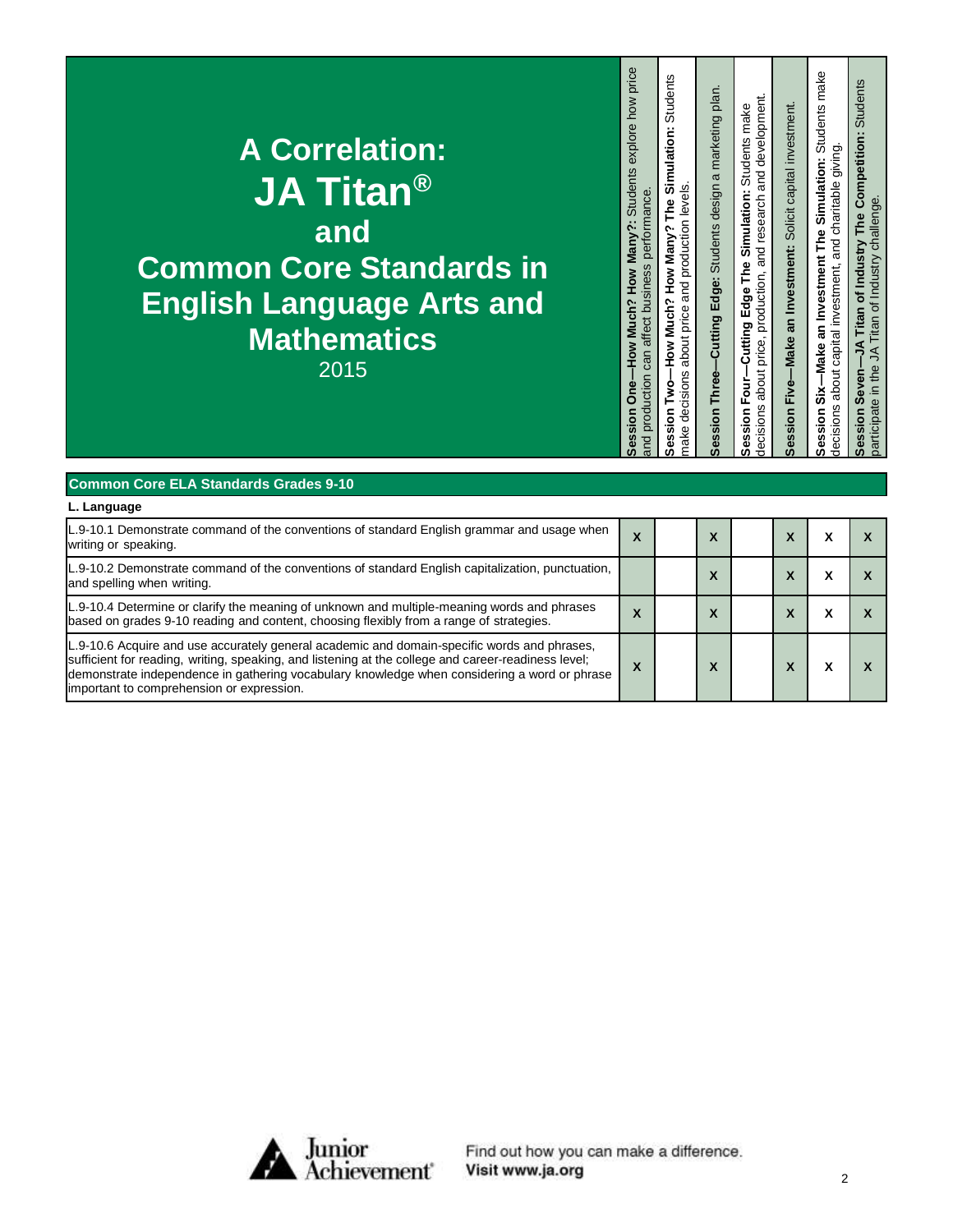| <b>A Correlation:</b><br><b>JA Titan<sup>®</sup></b><br>and<br><b>Common Core Standards in</b><br><b>English Language Arts and<br/>Mathematics</b><br>2015 | How Much? How Many?: Students explore how price<br>performance<br>can affect business<br>and production<br><b>Session One-</b> | Students<br>Simulation:<br>about price and production levels.<br>The<br>How Many<br>How Much?<br>make decisions<br>ġ<br>≧<br>ession<br>ഗ | -Cutting Edge: Students design a marketing plan.<br>Session Three- | and development.<br>Students make<br>The Simulation:<br>price, production, and research<br>Edge <sup>-</sup><br>Cutting<br>about<br>Four-<br>decisions<br>ession<br>ທ | -Make an Investment: Solicit capital investment.<br>Session Five- | Students make<br>giving.<br>Simulation:<br>and charitable<br>an Investment The<br>about capital investment,<br>-Make<br>ຮໍ່<br>decisions<br>ession<br>ທ | Students<br>The Competition:<br>Titan of Industry challenge<br><b>Titan of Industry</b><br>⋚<br>₹<br>participate in the<br>Seven-<br>ession<br>ഗ |
|------------------------------------------------------------------------------------------------------------------------------------------------------------|--------------------------------------------------------------------------------------------------------------------------------|------------------------------------------------------------------------------------------------------------------------------------------|--------------------------------------------------------------------|-----------------------------------------------------------------------------------------------------------------------------------------------------------------------|-------------------------------------------------------------------|---------------------------------------------------------------------------------------------------------------------------------------------------------|--------------------------------------------------------------------------------------------------------------------------------------------------|
|------------------------------------------------------------------------------------------------------------------------------------------------------------|--------------------------------------------------------------------------------------------------------------------------------|------------------------------------------------------------------------------------------------------------------------------------------|--------------------------------------------------------------------|-----------------------------------------------------------------------------------------------------------------------------------------------------------------------|-------------------------------------------------------------------|---------------------------------------------------------------------------------------------------------------------------------------------------------|--------------------------------------------------------------------------------------------------------------------------------------------------|

| <b>Common Core ELA Standards Grades 9-10</b>                                                                                                                                                                                                                                                                                                    |                             |                              |  |  |
|-------------------------------------------------------------------------------------------------------------------------------------------------------------------------------------------------------------------------------------------------------------------------------------------------------------------------------------------------|-----------------------------|------------------------------|--|--|
| L. Language                                                                                                                                                                                                                                                                                                                                     |                             |                              |  |  |
| L.9-10.1 Demonstrate command of the conventions of standard English grammar and usage when<br>writing or speaking.                                                                                                                                                                                                                              | X                           | $\overline{\mathbf{v}}$<br>ᄉ |  |  |
| L.9-10.2 Demonstrate command of the conventions of standard English capitalization, punctuation,<br>and spelling when writing.                                                                                                                                                                                                                  |                             | v<br>ᄉ                       |  |  |
| L.9-10.4 Determine or clarify the meaning of unknown and multiple-meaning words and phrases<br>based on grades 9-10 reading and content, choosing flexibly from a range of strategies.                                                                                                                                                          | X                           | v<br>ᄉ                       |  |  |
| L.9-10.6 Acquire and use accurately general academic and domain-specific words and phrases,<br>sufficient for reading, writing, speaking, and listening at the college and career-readiness level;<br>demonstrate independence in gathering vocabulary knowledge when considering a word or phrase<br>important to comprehension or expression. | v<br>$\boldsymbol{\lambda}$ | $\boldsymbol{\mathsf{A}}$    |  |  |



Find out how you can make a difference.<br>Visit www.ja.org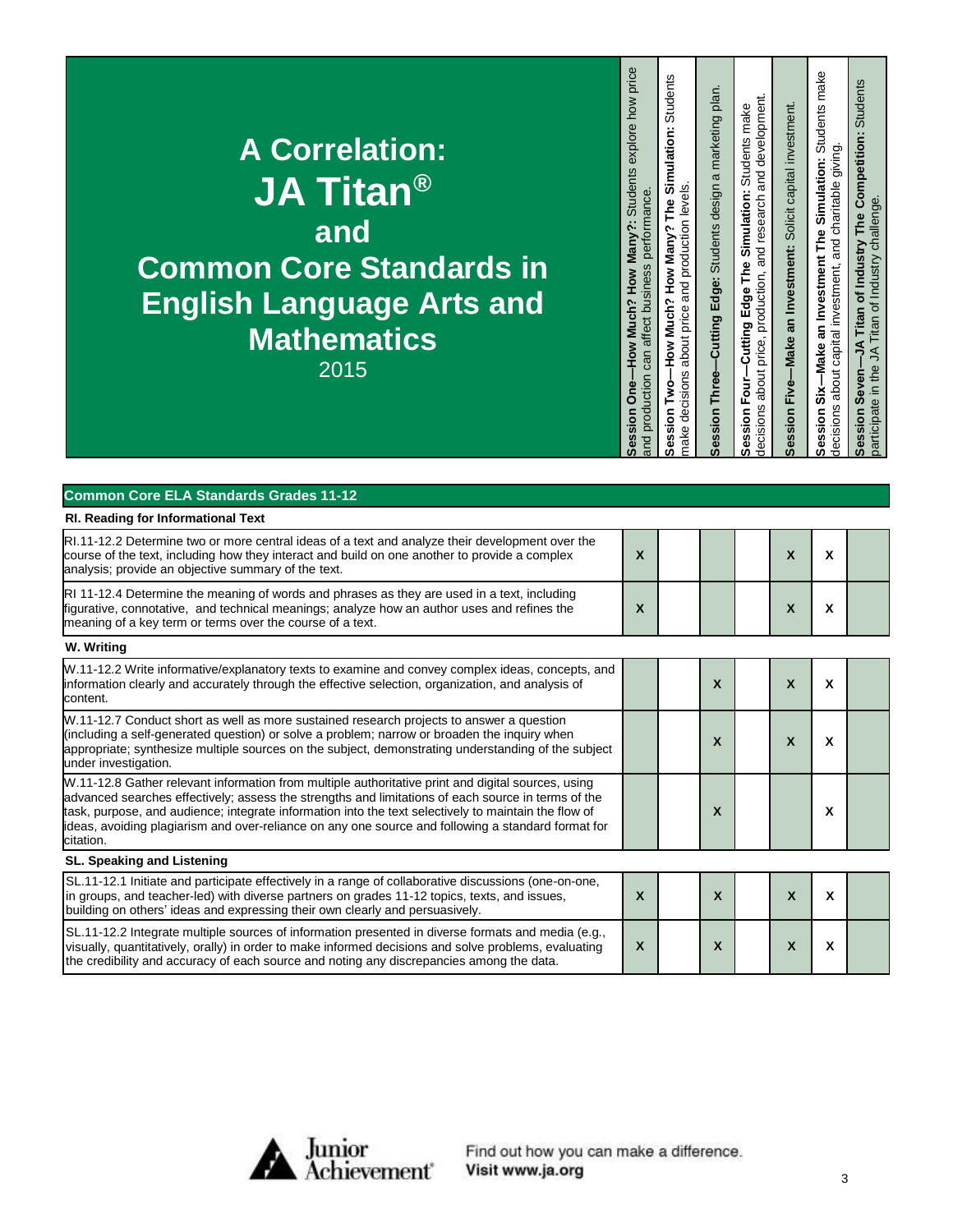| <b>A Correlation:</b><br><b>JA Titan<sup>®</sup></b><br>land<br><b>Common Core Standards in</b><br><b>English Language Arts and</b><br>Mathematics<br>2015 | How Much? How Many?: Students explore how price<br>performance<br>can affect business<br>and production<br><b>Session One</b> | Students<br>Simulation:<br>make decisions about price and production levels.<br>The<br><b>C</b><br>How Many<br>How Much?<br>ġ<br>P<br>ession<br>Ŵ | marketing plan<br>Cutting Edge: Students design a<br>Session Three- | price, production, and research and development.<br>Students make<br>Simulation:<br>-Cutting Edge The<br>about<br>Four-<br>decisions<br>ession<br>ທ | -Make an Investment: Solicit capital investment.<br>Session Five- | Students make<br>about capital investment, and charitable giving.<br>Simulation:<br>an Investment The<br>-Make<br>ຮ່້<br>decisions<br>ession<br>ທ | Competition: Students<br>Titan of Industry challenge<br>The<br>Titan of Industry<br>⋚<br>₹<br>participate in the<br>ession Seven- |
|------------------------------------------------------------------------------------------------------------------------------------------------------------|-------------------------------------------------------------------------------------------------------------------------------|---------------------------------------------------------------------------------------------------------------------------------------------------|---------------------------------------------------------------------|-----------------------------------------------------------------------------------------------------------------------------------------------------|-------------------------------------------------------------------|---------------------------------------------------------------------------------------------------------------------------------------------------|-----------------------------------------------------------------------------------------------------------------------------------|
|------------------------------------------------------------------------------------------------------------------------------------------------------------|-------------------------------------------------------------------------------------------------------------------------------|---------------------------------------------------------------------------------------------------------------------------------------------------|---------------------------------------------------------------------|-----------------------------------------------------------------------------------------------------------------------------------------------------|-------------------------------------------------------------------|---------------------------------------------------------------------------------------------------------------------------------------------------|-----------------------------------------------------------------------------------------------------------------------------------|

| <b>Common Core ELA Standards Grades 11-12</b>                                                                                                                                                                                                                                                                                                                                                                                       |              |              |                           |   |  |
|-------------------------------------------------------------------------------------------------------------------------------------------------------------------------------------------------------------------------------------------------------------------------------------------------------------------------------------------------------------------------------------------------------------------------------------|--------------|--------------|---------------------------|---|--|
| RI. Reading for Informational Text                                                                                                                                                                                                                                                                                                                                                                                                  |              |              |                           |   |  |
| RI.11-12.2 Determine two or more central ideas of a text and analyze their development over the<br>course of the text, including how they interact and build on one another to provide a complex<br>analysis; provide an objective summary of the text.                                                                                                                                                                             | $\mathbf{x}$ |              | $\boldsymbol{\mathsf{x}}$ | X |  |
| RI 11-12.4 Determine the meaning of words and phrases as they are used in a text, including<br>figurative, connotative, and technical meanings; analyze how an author uses and refines the<br>meaning of a key term or terms over the course of a text.                                                                                                                                                                             | $\mathbf{x}$ |              | X                         | X |  |
| W. Writing                                                                                                                                                                                                                                                                                                                                                                                                                          |              |              |                           |   |  |
| W.11-12.2 Write informative/explanatory texts to examine and convey complex ideas, concepts, and<br>information clearly and accurately through the effective selection, organization, and analysis of<br>content.                                                                                                                                                                                                                   |              | X            | X                         | X |  |
| W.11-12.7 Conduct short as well as more sustained research projects to answer a question<br>(including a self-generated question) or solve a problem; narrow or broaden the inquiry when<br>appropriate; synthesize multiple sources on the subject, demonstrating understanding of the subject<br>under investigation.                                                                                                             |              | X            | X                         | X |  |
| W.11-12.8 Gather relevant information from multiple authoritative print and digital sources, using<br>advanced searches effectively; assess the strengths and limitations of each source in terms of the<br>task, purpose, and audience; integrate information into the text selectively to maintain the flow of<br>ideas, avoiding plagiarism and over-reliance on any one source and following a standard format for<br>citation. |              | X            |                           | X |  |
| SL. Speaking and Listening                                                                                                                                                                                                                                                                                                                                                                                                          |              |              |                           |   |  |
| SL.11-12.1 Initiate and participate effectively in a range of collaborative discussions (one-on-one,<br>in groups, and teacher-led) with diverse partners on grades 11-12 topics, texts, and issues,<br>building on others' ideas and expressing their own clearly and persuasively.                                                                                                                                                | X            | $\mathbf{x}$ | X                         | X |  |
| SL.11-12.2 Integrate multiple sources of information presented in diverse formats and media (e.g.,<br>visually, quantitatively, orally) in order to make informed decisions and solve problems, evaluating<br>the credibility and accuracy of each source and noting any discrepancies among the data.                                                                                                                              | $\mathsf{x}$ | X            | X                         | x |  |



Find out how you can make a difference.<br>Visit www.ja.org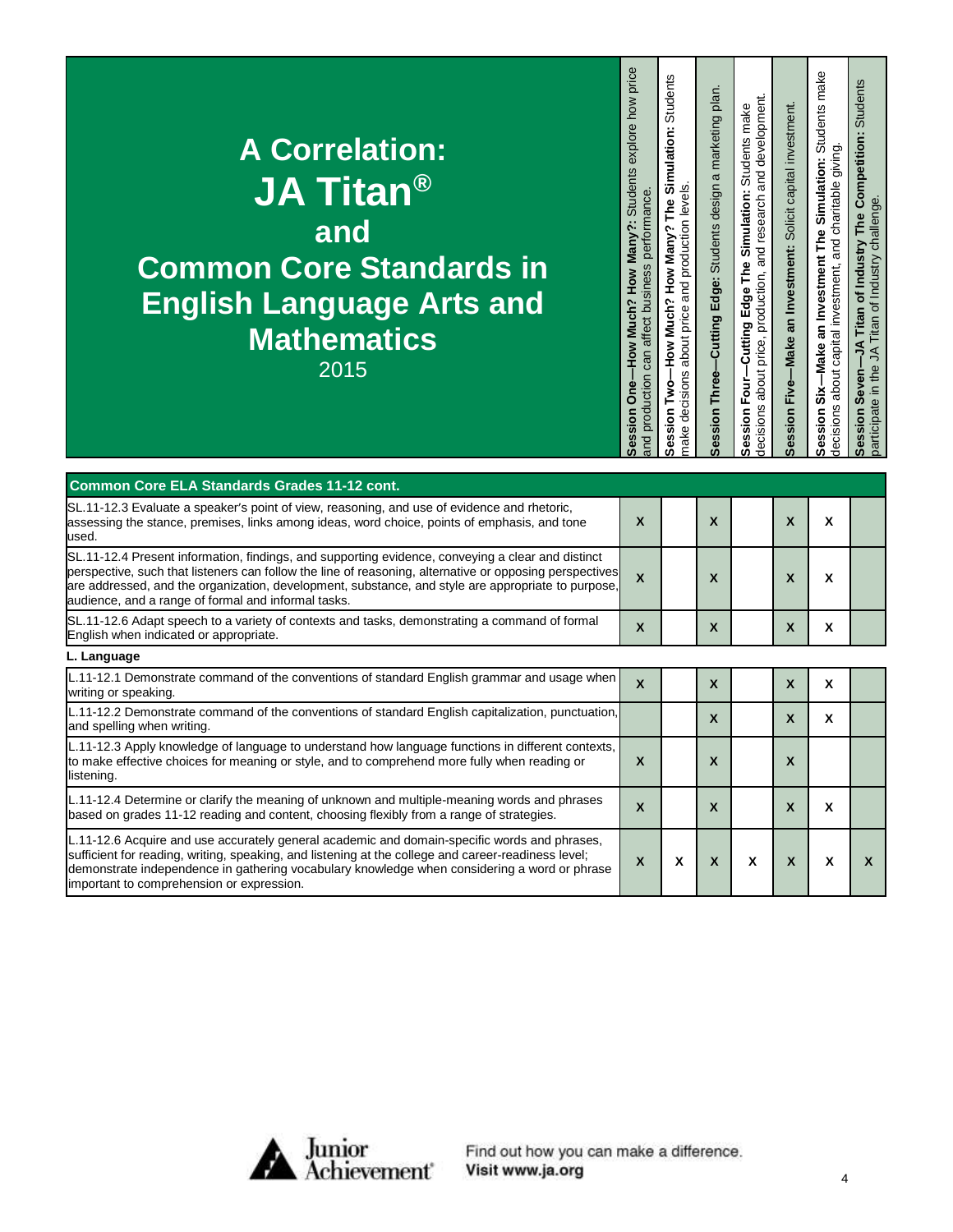| <b>A Correlation:</b><br><b>JA Titan<sup>®</sup></b><br>and<br><b>Common Core Standards in</b><br><b>English Language Arts and</b><br><b>Mathematics</b><br>2015 | explore how price<br>-How Much? How Many?: Students<br>performance<br>can affect business<br>and production<br><b>Session One</b> | Students<br>$\bullet$ .<br>Simulation<br>about price and production levels.<br><b>PAT</b><br>How Much? How Many?<br>make decisions<br>ession Two- | -Cutting Edge: Students design a marketing plan<br>Session Three- | price, production, and research and development.<br>Students make<br>The Simulation:<br>-Cutting Edge<br>about<br>ession Four-<br>decisions<br>Ŵ | -Make an Investment: Solicit capital investment.<br>Session Five- | Students make<br>and charitable giving.<br>Simulation:<br>an Investment The<br>about capital investment,<br>-Make<br>ŝ<br>decisions<br>ession<br>Ù) | Students<br>The Competition:<br>Titan of Industry challenge<br>Titan of Industry<br>₹<br>₹<br>participate in the<br>Seven<br>ession<br>ഗ |
|------------------------------------------------------------------------------------------------------------------------------------------------------------------|-----------------------------------------------------------------------------------------------------------------------------------|---------------------------------------------------------------------------------------------------------------------------------------------------|-------------------------------------------------------------------|--------------------------------------------------------------------------------------------------------------------------------------------------|-------------------------------------------------------------------|-----------------------------------------------------------------------------------------------------------------------------------------------------|------------------------------------------------------------------------------------------------------------------------------------------|
|------------------------------------------------------------------------------------------------------------------------------------------------------------------|-----------------------------------------------------------------------------------------------------------------------------------|---------------------------------------------------------------------------------------------------------------------------------------------------|-------------------------------------------------------------------|--------------------------------------------------------------------------------------------------------------------------------------------------|-------------------------------------------------------------------|-----------------------------------------------------------------------------------------------------------------------------------------------------|------------------------------------------------------------------------------------------------------------------------------------------|

| <b>Common Core ELA Standards Grades 11-12 cont.</b>                                                                                                                                                                                                                                                                                                                       |                           |   |             |   |   |   |   |
|---------------------------------------------------------------------------------------------------------------------------------------------------------------------------------------------------------------------------------------------------------------------------------------------------------------------------------------------------------------------------|---------------------------|---|-------------|---|---|---|---|
| SL.11-12.3 Evaluate a speaker's point of view, reasoning, and use of evidence and rhetoric,<br>assessing the stance, premises, links among ideas, word choice, points of emphasis, and tone<br>used.                                                                                                                                                                      | X                         |   | X           |   | X | X |   |
| SL.11-12.4 Present information, findings, and supporting evidence, conveying a clear and distinct<br>perspective, such that listeners can follow the line of reasoning, alternative or opposing perspectives<br>are addressed, and the organization, development, substance, and style are appropriate to purpose,<br>audience, and a range of formal and informal tasks. | $\boldsymbol{\mathsf{x}}$ |   | X           |   | X | x |   |
| SL.11-12.6 Adapt speech to a variety of contexts and tasks, demonstrating a command of formal<br>English when indicated or appropriate.                                                                                                                                                                                                                                   | $\boldsymbol{\mathsf{x}}$ |   | X           |   | X | X |   |
| L. Language                                                                                                                                                                                                                                                                                                                                                               |                           |   |             |   |   |   |   |
| L.11-12.1 Demonstrate command of the conventions of standard English grammar and usage when<br>writing or speaking.                                                                                                                                                                                                                                                       | $\boldsymbol{\mathsf{x}}$ |   | X           |   | X | X |   |
| L.11-12.2 Demonstrate command of the conventions of standard English capitalization, punctuation,<br>and spelling when writing.                                                                                                                                                                                                                                           |                           |   | X           |   | X | X |   |
| L.11-12.3 Apply knowledge of language to understand how language functions in different contexts,<br>to make effective choices for meaning or style, and to comprehend more fully when reading or<br>listening.                                                                                                                                                           | $\boldsymbol{x}$          |   | X           |   | X |   |   |
| L.11-12.4 Determine or clarify the meaning of unknown and multiple-meaning words and phrases<br>based on grades 11-12 reading and content, choosing flexibly from a range of strategies.                                                                                                                                                                                  | X                         |   | $\mathbf x$ |   | X | X |   |
| L.11-12.6 Acquire and use accurately general academic and domain-specific words and phrases,<br>sufficient for reading, writing, speaking, and listening at the college and career-readiness level;<br>demonstrate independence in gathering vocabulary knowledge when considering a word or phrase<br>important to comprehension or expression.                          | X                         | X | X           | X | X | X | x |



Find out how you can make a difference.<br>Visit www.ja.org